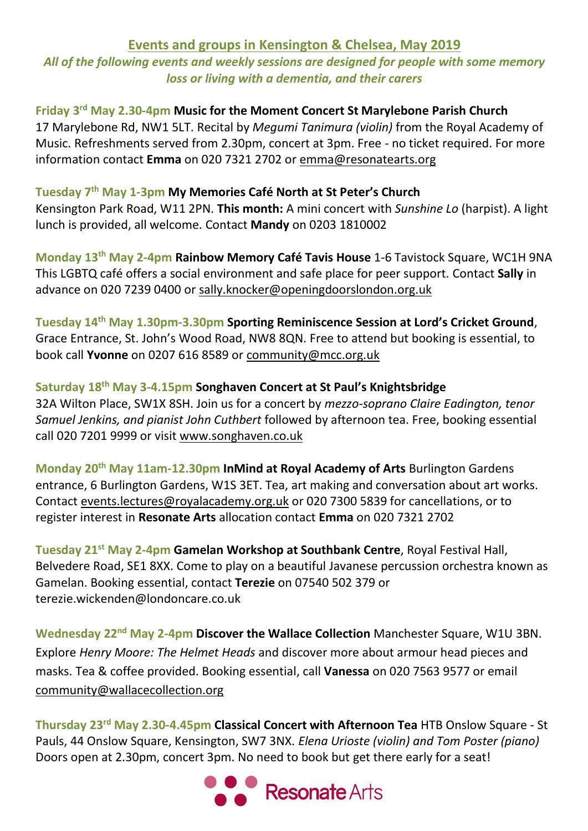# **Events and groups in Kensington & Chelsea, May 2019**

*All of the following events and weekly sessions are designed for people with some memory loss or living with a dementia, and their carers*

Friday 3<sup>rd</sup> May 2.30-4pm Music for the Moment Concert St Marylebone Parish Church 17 Marylebone Rd, NW1 5LT. Recital by *Megumi Tanimura (violin)* from the Royal Academy of Music. Refreshments served from 2.30pm, concert at 3pm. Free - no ticket required. For more information contact **Emma** on 020 7321 2702 or emma@resonatearts.org

## **Tuesday 7 th May 1-3pm My Memories Café North at St Peter's Church**

Kensington Park Road, W11 2PN. **This month:** A mini concert with *Sunshine Lo* (harpist). A light lunch is provided, all welcome. Contact **Mandy** on 0203 1810002

**Monday 13th May 2-4pm Rainbow Memory Café Tavis House** 1-6 Tavistock Square, WC1H 9NA This LGBTQ café offers a social environment and safe place for peer support. Contact **Sally** in advance on 020 7239 0400 or [sally.knocker@openingdoorslondon.org.uk](mailto:sally.knocker@openingdoorslondon.org.uk)

**Tuesday 14th May 1.30pm-3.30pm Sporting Reminiscence Session at Lord's Cricket Ground**, Grace Entrance, St. John's Wood Road, NW8 8QN. Free to attend but booking is essential, to book call **Yvonne** on 0207 616 8589 or [community@mcc.org.uk](mailto:community@mcc.org.uk)

### **Saturday 18th May 3-4.15pm Songhaven Concert at St Paul's Knightsbridge**

32A Wilton Place, SW1X 8SH. Join us for a concert by *mezzo-soprano Claire Eadington, tenor Samuel Jenkins, and pianist John Cuthbert* followed by afternoon tea. Free, booking essential call 020 7201 9999 or visit [www.songhaven.co.uk](http://www.songhaven.co.uk/)

**Monday 20th May 11am-12.30pm InMind at Royal Academy of Arts** Burlington Gardens entrance, 6 Burlington Gardens, W1S 3ET. Tea, art making and conversation about art works. Contact [events.lectures@royalacademy.org.uk](mailto:events.lectures@royalacademy.org.uk) or 020 7300 5839 for cancellations, or to register interest in **Resonate Arts** allocation contact **Emma** on 020 7321 2702

**Tuesday 21st May 2-4pm Gamelan Workshop at Southbank Centre**, Royal Festival Hall, Belvedere Road, SE1 8XX. Come to play on a beautiful Javanese percussion orchestra known as Gamelan. Booking essential, contact **Terezie** on 07540 502 379 or terezie.wickenden@londoncare.co.uk

**Wednesday 22nd May 2-4pm Discover the Wallace Collection** Manchester Square, W1U 3BN. Explore *Henry Moore: The Helmet Heads* and discover more about armour head pieces and masks. Tea & coffee provided. Booking essential, call **Vanessa** on 020 7563 9577 or email community@wallacecollection.org

Thursday 23<sup>rd</sup> May 2.30-4.45pm Classical Concert with Afternoon Tea HTB Onslow Square - St Pauls, 44 Onslow Square, Kensington, SW7 3NX. *Elena Urioste (violin) and Tom Poster (piano)* Doors open at 2.30pm, concert 3pm. No need to book but get there early for a seat!